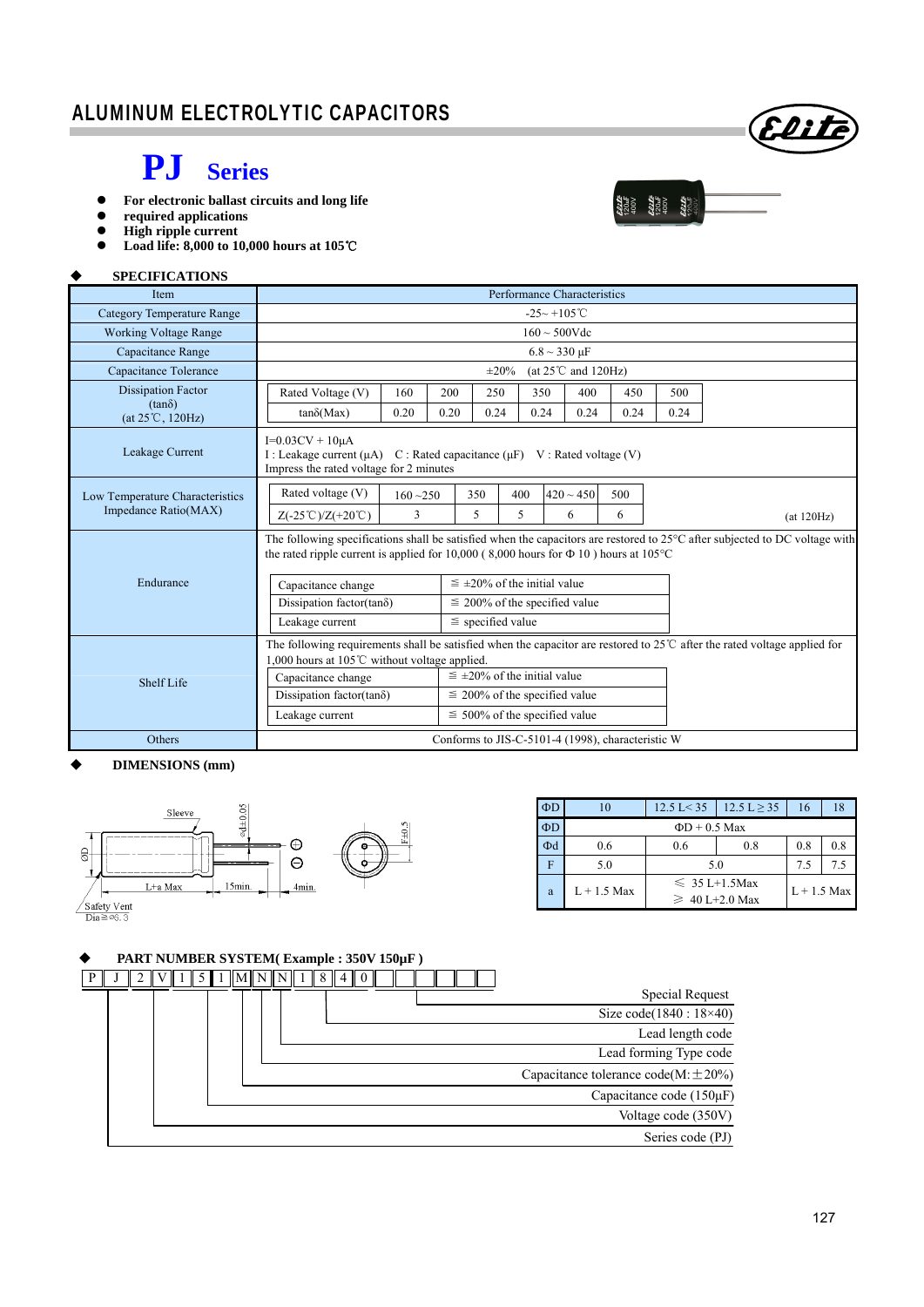# **PJ Series**

- **For electronic ballast circuits and long life**
- **required applications**<br>● **High rinnle current**
- **High ripple current**
- **Load life: 8,000 to 10,000 hours at 105**℃

#### **SPECIFICATIONS**

| <b>Item</b>                                | Performance Characteristics                                                                                                                                                                                               |                                                |      |                                      |                                      |                |      |      |      |             |  |  |
|--------------------------------------------|---------------------------------------------------------------------------------------------------------------------------------------------------------------------------------------------------------------------------|------------------------------------------------|------|--------------------------------------|--------------------------------------|----------------|------|------|------|-------------|--|--|
| <b>Category Temperature Range</b>          | $-25 - +105^{\circ}$ C                                                                                                                                                                                                    |                                                |      |                                      |                                      |                |      |      |      |             |  |  |
| <b>Working Voltage Range</b>               | $160 \sim 500$ Vdc                                                                                                                                                                                                        |                                                |      |                                      |                                      |                |      |      |      |             |  |  |
| Capacitance Range                          | $6.8 \sim 330 \text{ }\mu\text{F}$                                                                                                                                                                                        |                                                |      |                                      |                                      |                |      |      |      |             |  |  |
| Capacitance Tolerance                      |                                                                                                                                                                                                                           | (at $25^{\circ}$ C and $120$ Hz)<br>$\pm 20\%$ |      |                                      |                                      |                |      |      |      |             |  |  |
| <b>Dissipation Factor</b>                  | Rated Voltage (V)                                                                                                                                                                                                         | 160                                            | 200  | 250                                  |                                      | 350            | 400  | 450  | 500  |             |  |  |
| $(tan\delta)$<br>$(at 25^{\circ}C, 120Hz)$ | $tan\delta(Max)$                                                                                                                                                                                                          | 0.20                                           | 0.20 | 0.24                                 |                                      | 0.24           | 0.24 | 0.24 | 0.24 |             |  |  |
| Leakage Current                            | $I=0.03CV + 10\mu A$<br>I : Leakage current $(\mu A)$<br>C : Rated capacitance $(\mu F)$ V : Rated voltage (V)<br>Impress the rated voltage for 2 minutes                                                                 |                                                |      |                                      |                                      |                |      |      |      |             |  |  |
| Low Temperature Characteristics            | Rated voltage (V)                                                                                                                                                                                                         | $160 - 250$                                    |      | 350                                  | 400                                  | $420 \sim 450$ |      | 500  |      |             |  |  |
| Impedance Ratio(MAX)                       | $Z(-25^{\circ}\text{C})/Z(+20^{\circ}\text{C})$                                                                                                                                                                           | 3                                              |      | 5                                    | 5                                    | 6              |      | 6    |      | (at 120 Hz) |  |  |
|                                            | The following specifications shall be satisfied when the capacitors are restored to 25°C after subjected to DC voltage with<br>the rated ripple current is applied for 10,000 (8,000 hours for $\Phi$ 10) hours at 105 °C |                                                |      |                                      |                                      |                |      |      |      |             |  |  |
| Endurance                                  | Capacitance change                                                                                                                                                                                                        |                                                |      |                                      | $\leq \pm 20\%$ of the initial value |                |      |      |      |             |  |  |
|                                            | Dissipation factor(tan $\delta$ )                                                                                                                                                                                         |                                                |      |                                      | $\leq$ 200% of the specified value   |                |      |      |      |             |  |  |
|                                            | Leakage current                                                                                                                                                                                                           |                                                |      | $\le$ specified value                |                                      |                |      |      |      |             |  |  |
|                                            | The following requirements shall be satisfied when the capacitor are restored to $25^{\circ}$ after the rated voltage applied for<br>1,000 hours at 105 $\degree$ C without voltage applied.                              |                                                |      |                                      |                                      |                |      |      |      |             |  |  |
| Shelf Life                                 | Capacitance change                                                                                                                                                                                                        |                                                |      | $\leq \pm 20\%$ of the initial value |                                      |                |      |      |      |             |  |  |
|                                            | Dissipation factor(tan $\delta$ )                                                                                                                                                                                         |                                                |      |                                      | $\leq$ 200% of the specified value   |                |      |      |      |             |  |  |
|                                            | Leakage current                                                                                                                                                                                                           | $\leq 500\%$ of the specified value            |      |                                      |                                      |                |      |      |      |             |  |  |
| Others                                     | Conforms to JIS-C-5101-4 (1998), characteristic W                                                                                                                                                                         |                                                |      |                                      |                                      |                |      |      |      |             |  |  |

#### **DIMENSIONS (mm)**



| $\Phi$ D | 10            | $12.5 \text{ L} < 35$                     | $12.5 L \ge 35$ | 16  | 18  |
|----------|---------------|-------------------------------------------|-----------------|-----|-----|
| $\Phi$ D |               | $\Phi$ D + 0.5 Max                        |                 |     |     |
| Φd       | 0.6           | 0.6                                       | 0.8             | 0.8 | 0.8 |
|          | 5.0           | 5.0                                       | 7.5             | 7.5 |     |
| a        | $L + 1.5$ Max | $\leq 35$ L+1.5Max<br>$\geq 40$ L+2.0 Max | $L + 1.5$ Max   |     |     |

#### **PART NUMBER SYSTEM( Example : 350V 150µF )**

|  |  |  |  |  |  | IMININI 1 I 8 I |  |  |  |  |  |                                          |
|--|--|--|--|--|--|-----------------|--|--|--|--|--|------------------------------------------|
|  |  |  |  |  |  |                 |  |  |  |  |  | Special Request                          |
|  |  |  |  |  |  |                 |  |  |  |  |  | Size code $(1840:18\times40)$            |
|  |  |  |  |  |  |                 |  |  |  |  |  | Lead length code                         |
|  |  |  |  |  |  |                 |  |  |  |  |  | Lead forming Type code                   |
|  |  |  |  |  |  |                 |  |  |  |  |  | Capacitance tolerance code(M: $\pm$ 20%) |
|  |  |  |  |  |  |                 |  |  |  |  |  | Capacitance code (150µF)                 |
|  |  |  |  |  |  |                 |  |  |  |  |  | Voltage code (350V)                      |
|  |  |  |  |  |  |                 |  |  |  |  |  | Series code (PJ)                         |

Elite

 $\begin{array}{l} \mathbf{22.15} \\ \mathbf{23.47} \\ \mathbf{12.04} \\ \mathbf{24.17} \\ \mathbf{25.17} \\ \mathbf{26.17} \\ \mathbf{27.17} \\ \mathbf{28.17} \\ \mathbf{29.17} \\ \mathbf{20.17} \\ \mathbf{21.28} \\ \mathbf{22.17} \\ \mathbf{23.17} \\ \mathbf{24.28} \\ \mathbf{25.17} \\ \mathbf{26.17} \\ \mathbf{27.17} \\ \mathbf{28.17} \\ \mathbf{29.17} \\ \mathbf{$